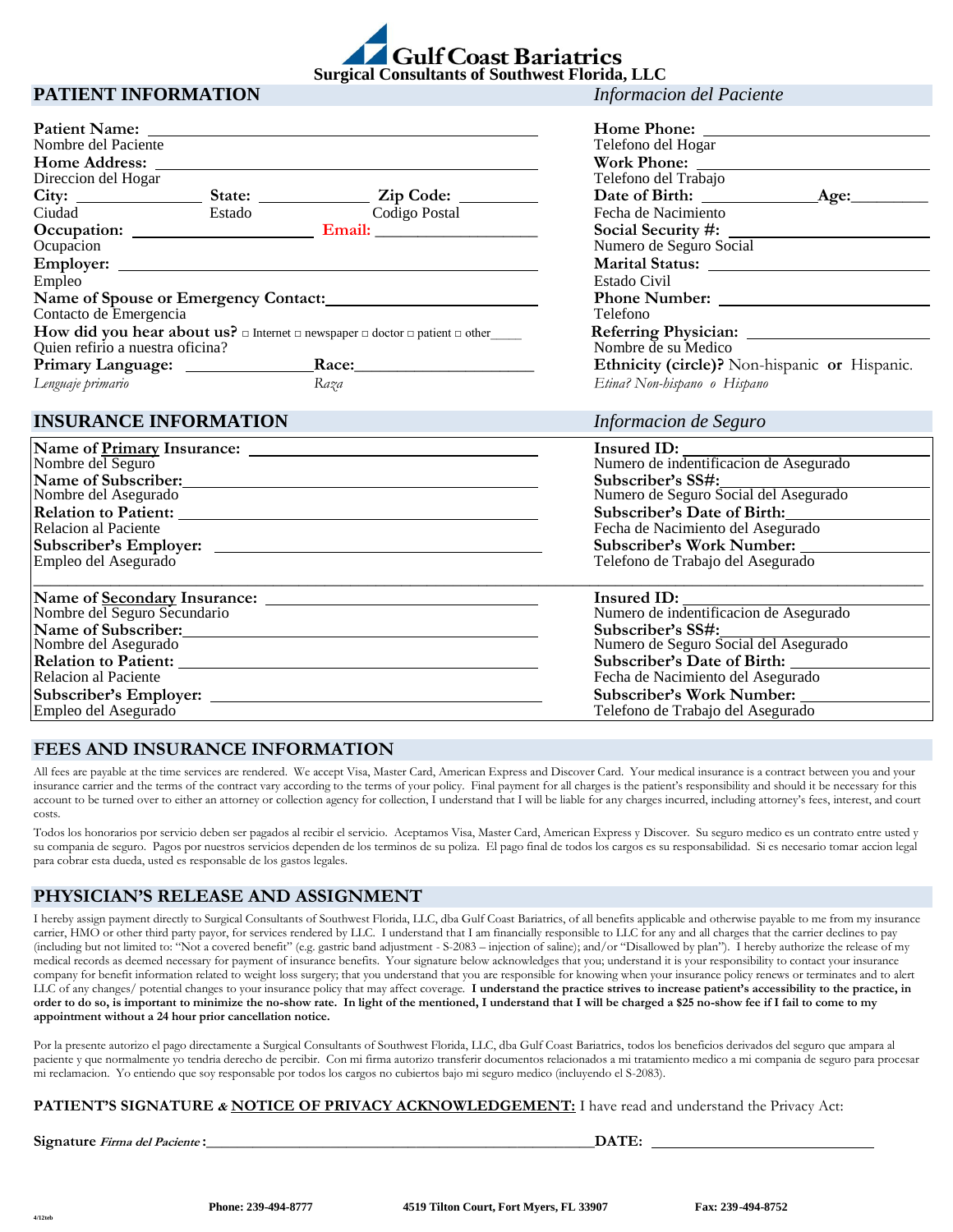

**Home Phone:** Telefono del Hogar **Work Phone:** Telefono del Trabajo

Fecha de Nacimiento **Social Security #:** Numero de Seguro Social **Marital Status:** 

**Name of Spouse or Emergency Contact: Phone Number:**

**Heart Referring Physician:** Nombre de su Medico

*Lenguaje primario Raza Etina? Non-hispano o Hispano*

**C** Date of Birth:  $\qquad$  Age:

**Ethnicity (circle)?** Non-hispanic or Hispanic.

## **PATIENT INFORMATION** *Informacion del Paciente*

|                                             |        |                                                                                                                      | Home Pho                         |
|---------------------------------------------|--------|----------------------------------------------------------------------------------------------------------------------|----------------------------------|
| Nombre del Paciente<br><b>Home Address:</b> |        |                                                                                                                      | Telefono del<br><b>Work Phor</b> |
| Direccion del Hogar                         |        |                                                                                                                      | Telefono del                     |
|                                             |        | State: <u>Zip Code:</u>                                                                                              | Date of Bi                       |
| Ciudad                                      | Estado | Codigo Postal                                                                                                        | Fecha de Na                      |
|                                             |        |                                                                                                                      | <b>Social Secu</b>               |
| Ocupacion                                   |        |                                                                                                                      | Numero de S                      |
| Employer:                                   |        |                                                                                                                      | <b>Marital</b> Sta               |
| Empleo                                      |        |                                                                                                                      | Estado Civil                     |
|                                             |        | Name of Spouse or Emergency Contact:                                                                                 | <b>Phone Num</b>                 |
| Contacto de Emergencia                      |        |                                                                                                                      | Telefono                         |
|                                             |        | How did you hear about us? $\square$ Internet $\square$ newspaper $\square$ doctor $\square$ patient $\square$ other | <b>Referring F</b>               |
| Quien refirio a nuestra oficina?            |        |                                                                                                                      | Nombre de s                      |
|                                             |        | Race: $\_\_$                                                                                                         | Ethnicity (                      |
| Lenguaje primario                           |        | Raza                                                                                                                 | Etina? Non-h                     |

| <b>INSURANCE INFORMATION</b> | Informacion de Seguro                                 |
|------------------------------|-------------------------------------------------------|
|                              | Insured ID:<br>Numero de indentificacion de Asegurado |
| Nombre del Seguro            |                                                       |
| Name of Subscriber:          | Subscriber's SS#:                                     |
| Nombre del Asegurado         | Numero de Seguro Social del Asegurado                 |
| <b>Relation to Patient:</b>  | Subscriber's Date of Birth:                           |
| Relacion al Paciente         | Fecha de Nacimiento del Asegurado                     |
|                              | <b>Subscriber's Work Number:</b>                      |
| Empleo del Asegurado         | Telefono de Trabajo del Asegurado                     |
|                              | Insured ID:                                           |
| Nombre del Seguro Secundario | Numero de indentificacion de Asegurado                |
| Name of Subscriber:          | Subscriber's SS#:                                     |
| Nombre del Asegurado         | Numero de Seguro Social del Asegurado                 |
| <b>Relation to Patient:</b>  | <b>Subscriber's Date of Birth:</b>                    |
| Relacion al Paciente         | Fecha de Nacimiento del Asegurado                     |
| Subscriber's Employer:       | <b>Subscriber's Work Number:</b>                      |
| Empleo del Asegurado         | Telefono de Trabajo del Asegurado                     |

## **FEES AND INSURANCE INFORMATION**

All fees are payable at the time services are rendered. We accept Visa, Master Card, American Express and Discover Card. Your medical insurance is a contract between you and your insurance carrier and the terms of the contract vary according to the terms of your policy. Final payment for all charges is the patient's responsibility and should it be necessary for this account to be turned over to either an attorney or collection agency for collection, I understand that I will be liable for any charges incurred, including attorney's fees, interest, and court costs.

Todos los honorarios por servicio deben ser pagados al recibir el servicio. Aceptamos Visa, Master Card, American Express y Discover. Su seguro medico es un contrato entre usted y su compania de seguro. Pagos por nuestros servicios dependen de los terminos de su poliza. El pago final de todos los cargos es su responsabilidad. Si es necesario tomar accion legal para cobrar esta dueda, usted es responsable de los gastos legales.

## **PHYSICIAN'S RELEASE AND ASSIGNMENT**

I hereby assign payment directly to Surgical Consultants of Southwest Florida, LLC, dba Gulf Coast Bariatrics, of all benefits applicable and otherwise payable to me from my insurance carrier, HMO or other third party payor, for services rendered by LLC. I understand that I am financially responsible to LLC for any and all charges that the carrier declines to pay (including but not limited to: "Not a covered benefit" (e.g. gastric band adjustment - S-2083 – injection of saline); and/or "Disallowed by plan"). I hereby authorize the release of my medical records as deemed necessary for payment of insurance benefits. Your signature below acknowledges that you; understand it is your responsibility to contact your insurance company for benefit information related to weight loss surgery; that you understand that you are responsible for knowing when your insurance policy renews or terminates and to alert LLC of any changes/ potential changes to your insurance policy that may affect coverage. **I understand the practice strives to increase patient's accessibility to the practice, in order to do so, is important to minimize the no-show rate. In light of the mentioned, I understand that I will be charged a \$25 no-show fee if I fail to come to my appointment without a 24 hour prior cancellation notice.** 

Por la presente autorizo el pago directamente a Surgical Consultants of Southwest Florida, LLC, dba Gulf Coast Bariatrics, todos los beneficios derivados del seguro que ampara al paciente y que normalmente yo tendria derecho de percibir. Con mi firma autorizo transferir documentos relacionados a mi tratamiento medico a mi compania de seguro para procesar mi reclamacion. Yo entiendo que soy responsable por todos los cargos no cubiertos bajo mi seguro medico (incluyendo el S-2083).

#### **PATIENT'S SIGNATURE & NOTICE OF PRIVACY ACKNOWLEDGEMENT:** I have read and understand the Privacy Act:

**Signature** *Firma del Paciente* **:**  $\blacksquare$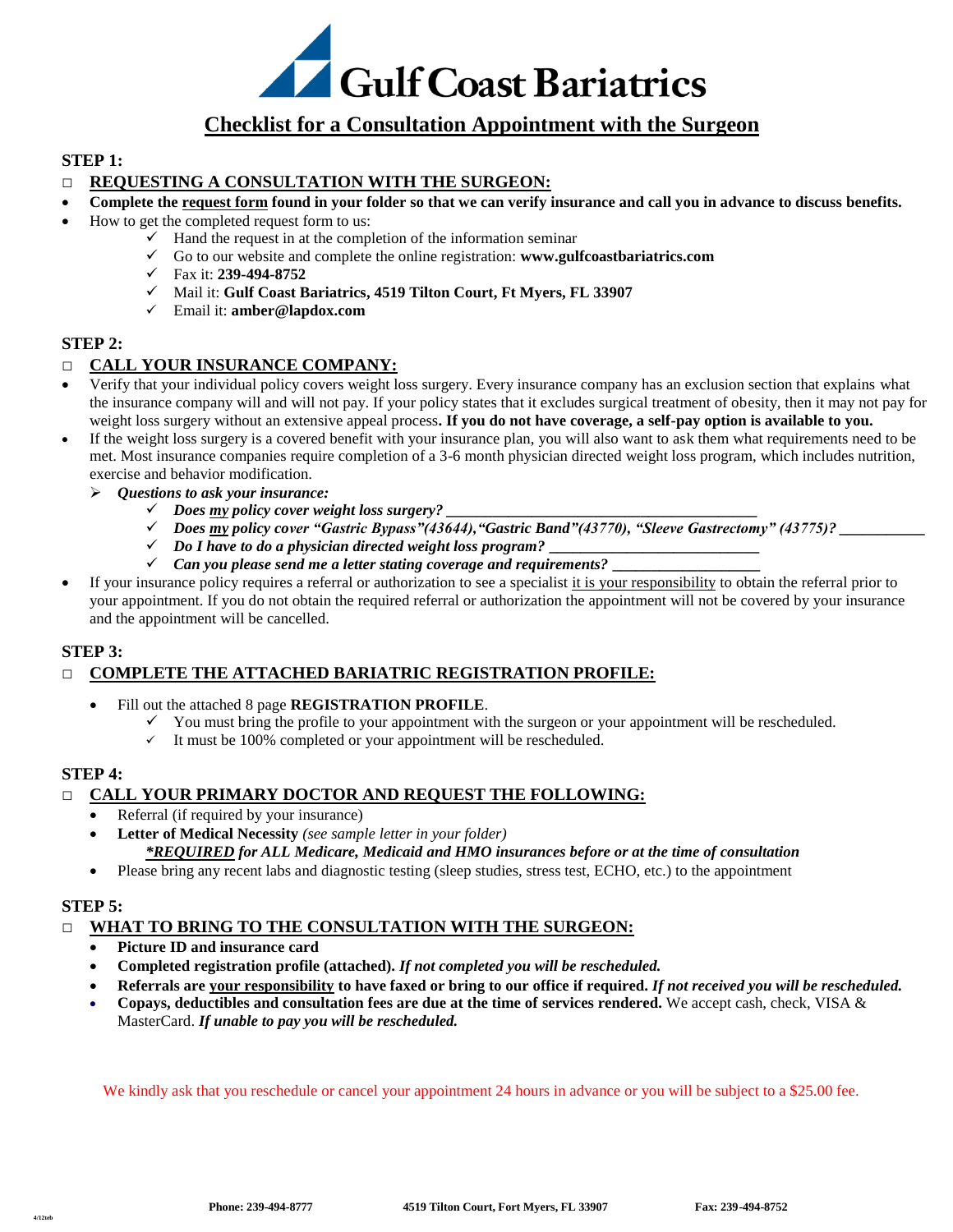

# **Checklist for a Consultation Appointment with the Surgeon**

## **STEP 1:**

## **□ REQUESTING A CONSULTATION WITH THE SURGEON:**

- **Complete the request form found in your folder so that we can verify insurance and call you in advance to discuss benefits.**
- How to get the completed request form to us:
	- $\checkmark$  Hand the request in at the completion of the information seminar
	- Go to our website and complete the online registration: **www.gulfcoastbariatrics.com**
	- Fax it: **239-494-8752**
	- Mail it: **Gulf Coast Bariatrics, 4519 Tilton Court, Ft Myers, FL 33907**
	- Email it: **amber@lapdox.com**

#### **STEP 2:**

## **□ CALL YOUR INSURANCE COMPANY:**

- Verify that your individual policy covers weight loss surgery. Every insurance company has an exclusion section that explains what the insurance company will and will not pay. If your policy states that it excludes surgical treatment of obesity, then it may not pay for weight loss surgery without an extensive appeal process**. If you do not have coverage, a self-pay option is available to you.**
- If the weight loss surgery is a covered benefit with your insurance plan, you will also want to ask them what requirements need to be met. Most insurance companies require completion of a 3-6 month physician directed weight loss program, which includes nutrition, exercise and behavior modification.
	- *Questions to ask your insurance:*
		- $\checkmark$  Does <u>my</u> policy cover weight loss surgery?
		- *Does my policy cover "Gastric Bypass"(43644),"Gastric Band"(43770), "Sleeve Gastrectomy" (43775)? \_\_\_\_\_\_\_\_\_\_\_*
		- $\checkmark$  Do I have to do a physician directed weight loss program?
		- *Can you please send me a letter stating coverage and requirements?* **\_\_\_\_\_\_\_\_\_\_\_\_\_\_\_\_\_\_\_**
- If your insurance policy requires a referral or authorization to see a specialist it is your responsibility to obtain the referral prior to your appointment. If you do not obtain the required referral or authorization the appointment will not be covered by your insurance and the appointment will be cancelled.

#### **STEP 3:**

## **□ COMPLETE THE ATTACHED BARIATRIC REGISTRATION PROFILE:**

- Fill out the attached 8 page **REGISTRATION PROFILE**.
	- $\checkmark$  You must bring the profile to your appointment with the surgeon or your appointment will be rescheduled.
	- $\checkmark$  It must be 100% completed or your appointment will be rescheduled.

## **STEP 4:**

## **□ CALL YOUR PRIMARY DOCTOR AND REQUEST THE FOLLOWING:**

- Referral (if required by your insurance)
- **Letter of Medical Necessity** *(see sample letter in your folder)*

*\*REQUIRED for ALL Medicare, Medicaid and HMO insurances before or at the time of consultation*

Please bring any recent labs and diagnostic testing (sleep studies, stress test, ECHO, etc.) to the appointment

#### **STEP 5:**

#### **□ WHAT TO BRING TO THE CONSULTATION WITH THE SURGEON:**

- **Picture ID and insurance card**
- **Completed registration profile (attached).** *If not completed you will be rescheduled.*
- **Referrals are your responsibility to have faxed or bring to our office if required.** *If not received you will be rescheduled.*
- **Copays, deductibles and consultation fees are due at the time of services rendered.** We accept cash, check, VISA & MasterCard. *If unable to pay you will be rescheduled.*

We kindly ask that you reschedule or cancel your appointment 24 hours in advance or you will be subject to a \$25.00 fee.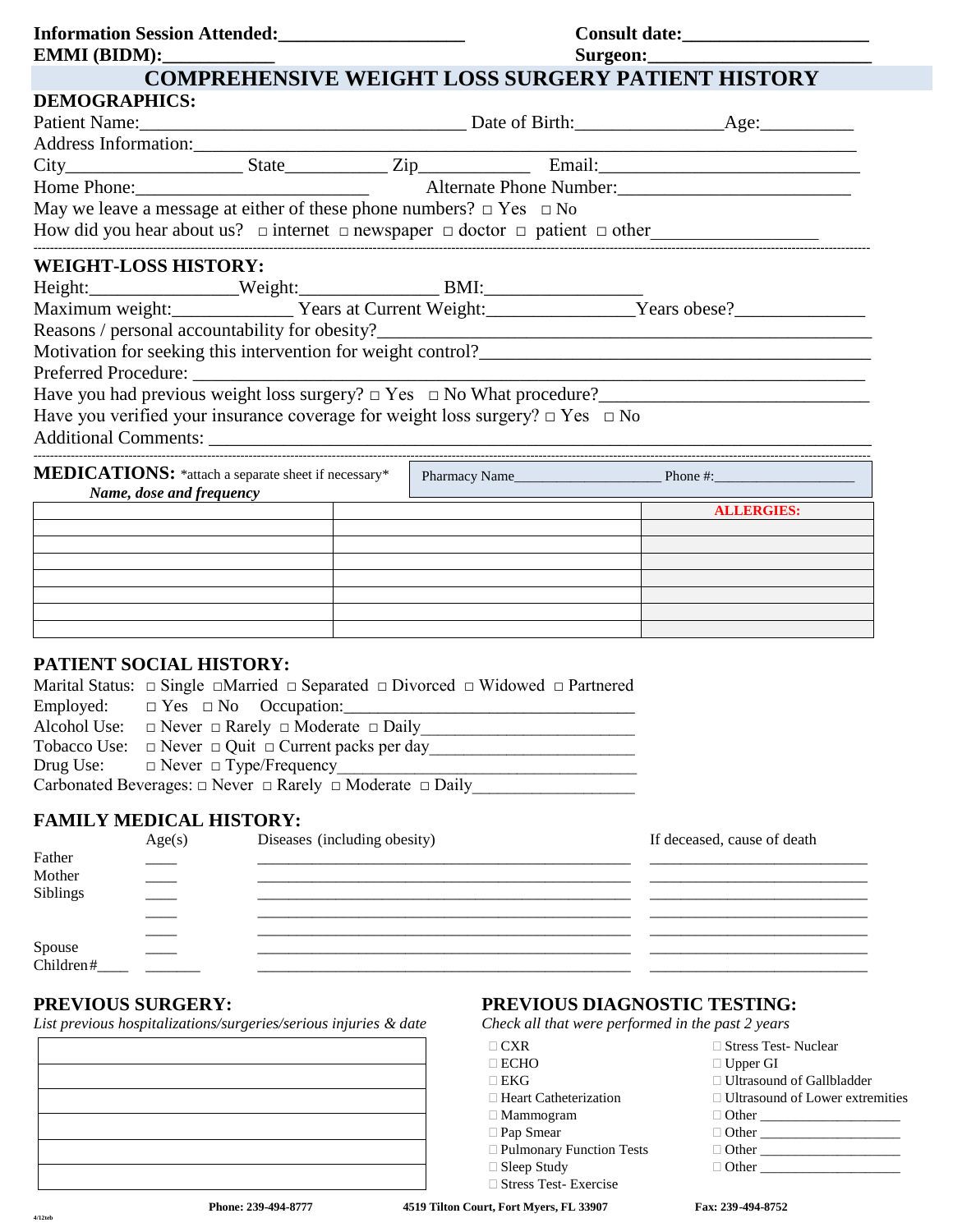| EMMI(BIDM):                                                                                                                                                                                                                    |  |  |  |                   |
|--------------------------------------------------------------------------------------------------------------------------------------------------------------------------------------------------------------------------------|--|--|--|-------------------|
| <b>COMPREHENSIVE WEIGHT LOSS SURGERY PATIENT HISTORY</b>                                                                                                                                                                       |  |  |  |                   |
| <b>DEMOGRAPHICS:</b>                                                                                                                                                                                                           |  |  |  |                   |
|                                                                                                                                                                                                                                |  |  |  |                   |
|                                                                                                                                                                                                                                |  |  |  |                   |
|                                                                                                                                                                                                                                |  |  |  |                   |
| Address Information: State Zip Email: National City Email: National Phone: State Distribution: State Distribution: State Distribution: National Phone: National Phone: National Phone: National Phone: National Phone: Nationa |  |  |  |                   |
|                                                                                                                                                                                                                                |  |  |  |                   |
| How did you hear about us? $\Box$ internet $\Box$ newspaper $\Box$ doctor $\Box$ patient $\Box$ other                                                                                                                          |  |  |  |                   |
| <b>WEIGHT-LOSS HISTORY:</b><br>Have you had previous weight loss surgery? $\Box$ Yes $\Box$ No What procedure?<br>Have you verified your insurance coverage for weight loss surgery? $\Box$ Yes $\Box$ No                      |  |  |  |                   |
| Name, dose and frequency                                                                                                                                                                                                       |  |  |  |                   |
|                                                                                                                                                                                                                                |  |  |  | <b>ALLERGIES:</b> |
|                                                                                                                                                                                                                                |  |  |  |                   |
|                                                                                                                                                                                                                                |  |  |  |                   |
|                                                                                                                                                                                                                                |  |  |  |                   |
|                                                                                                                                                                                                                                |  |  |  |                   |
|                                                                                                                                                                                                                                |  |  |  |                   |
|                                                                                                                                                                                                                                |  |  |  |                   |

# **PATIENT SOCIAL HISTORY:**

|                                                                               | Marital Status: $\Box$ Single $\Box$ Married $\Box$ Separated $\Box$ Divorced $\Box$ Widowed $\Box$ Partnered |  |  |
|-------------------------------------------------------------------------------|---------------------------------------------------------------------------------------------------------------|--|--|
|                                                                               | Employed: $\square$ Yes $\square$ No Occupation:                                                              |  |  |
|                                                                               | Alcohol Use: $\Box$ Never $\Box$ Rarely $\Box$ Moderate $\Box$ Daily                                          |  |  |
|                                                                               | Tobacco Use: $\Box$ Never $\Box$ Quit $\Box$ Current packs per day                                            |  |  |
|                                                                               | Drug Use: $\Box$ Never $\Box$ Type/Frequency                                                                  |  |  |
| Carbonated Beverages: $\Box$ Never $\Box$ Rarely $\Box$ Moderate $\Box$ Daily |                                                                                                               |  |  |

## **FAMILY MEDICAL HISTORY:**

|                              | Age(s) | Diseases (including obesity) | If deceased, cause of death |
|------------------------------|--------|------------------------------|-----------------------------|
| Father<br>Mother<br>Siblings |        |                              |                             |
|                              |        |                              |                             |
|                              |        |                              |                             |
|                              |        |                              |                             |
|                              |        |                              |                             |
| Spouse<br>Children#          |        |                              |                             |
|                              |        |                              |                             |

*List previous hospitalizations/surgeries/serious injuries & date Check all that were performed in the past 2 years*

| $\overline{\phantom{a}}$ |  |  |
|--------------------------|--|--|
| ┕                        |  |  |
|                          |  |  |
|                          |  |  |
|                          |  |  |
|                          |  |  |

# **PREVIOUS SURGERY: PREVIOUS DIAGNOSTIC TESTING:**

| $\Box$ CXR                   | $\Box$ Stress Test- Nuclear            |
|------------------------------|----------------------------------------|
| $\Box$ ECHO                  | $\Box$ Upper GI                        |
| $\Box$ EKG                   | □ Ultrasound of Gallbladder            |
| $\Box$ Heart Catheterization | $\Box$ Ultrasound of Lower extremities |
| $\Box$ Mammogram             | $\Box$ Other                           |
| $\Box$ Pap Smear             | $\Box$ Other                           |
| □ Pulmonary Function Tests   | $\Box$ Other                           |
| $\Box$ Sleep Study           |                                        |
| $\Box$ Stress Test-Exercise  |                                        |

 **Phone: 239-494-8777 4519 Tilton Court, Fort Myers, FL 33907 Fax: 239-494-8752**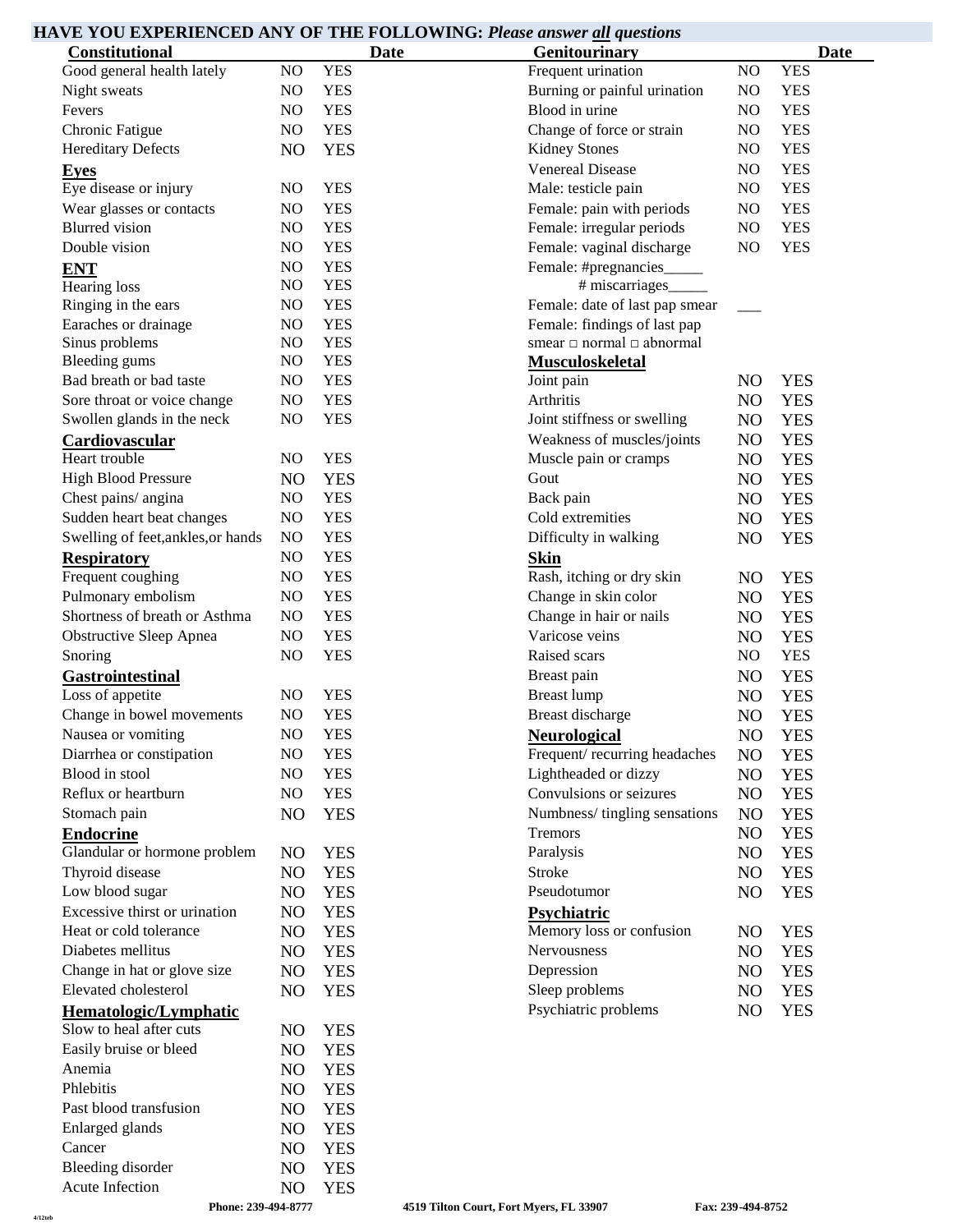# **HAVE YOU EXPERIENCED ANY OF THE FOLLOWING:** *Please answer all questions*

| <b>Constitutional</b>                            |                |            | <b>Date</b> | Genitourinary                       |                | <b>Date</b>              |
|--------------------------------------------------|----------------|------------|-------------|-------------------------------------|----------------|--------------------------|
| Good general health lately                       | NO             | <b>YES</b> |             | Frequent urination                  | NO             | <b>YES</b>               |
| Night sweats                                     | NO.            | <b>YES</b> |             | Burning or painful urination        | NO             | <b>YES</b>               |
| Fevers                                           | NO             | <b>YES</b> |             | Blood in urine                      | NO             | <b>YES</b>               |
| Chronic Fatigue                                  | NO             | <b>YES</b> |             | Change of force or strain           | NO             | <b>YES</b>               |
| <b>Hereditary Defects</b>                        | NO             | <b>YES</b> |             | <b>Kidney Stones</b>                | NO             | <b>YES</b>               |
| <b>Eyes</b>                                      |                |            |             | <b>Venereal Disease</b>             | NO             | <b>YES</b>               |
| Eye disease or injury                            | N <sub>O</sub> | <b>YES</b> |             | Male: testicle pain                 | NO             | <b>YES</b>               |
| Wear glasses or contacts                         | NO             | <b>YES</b> |             | Female: pain with periods           | NO             | <b>YES</b>               |
| <b>Blurred</b> vision                            | NO             | <b>YES</b> |             | Female: irregular periods           | NO             | <b>YES</b>               |
| Double vision                                    | NO.            | <b>YES</b> |             | Female: vaginal discharge           | N <sub>O</sub> | <b>YES</b>               |
| <b>ENT</b>                                       | NO             | <b>YES</b> |             | Female: #pregnancies_               |                |                          |
| Hearing loss                                     | NO             | <b>YES</b> |             | # miscarriages_                     |                |                          |
| Ringing in the ears                              | NO             | <b>YES</b> |             | Female: date of last pap smear      |                |                          |
| Earaches or drainage                             | NO.            | <b>YES</b> |             | Female: findings of last pap        |                |                          |
| Sinus problems                                   | NO             | <b>YES</b> |             | smear $\Box$ normal $\Box$ abnormal |                |                          |
| <b>Bleeding gums</b>                             | NO.            | <b>YES</b> |             | <b>Musculoskeletal</b>              |                |                          |
| Bad breath or bad taste                          | N <sub>O</sub> | <b>YES</b> |             | Joint pain                          | NO             | <b>YES</b>               |
| Sore throat or voice change                      | NO             | <b>YES</b> |             | Arthritis                           | N <sub>O</sub> | <b>YES</b>               |
| Swollen glands in the neck                       | NO             | <b>YES</b> |             | Joint stiffness or swelling         | N <sub>O</sub> | <b>YES</b>               |
| Cardiovascular                                   |                |            |             | Weakness of muscles/joints          | N <sub>O</sub> | <b>YES</b>               |
| Heart trouble                                    | NO.            | <b>YES</b> |             | Muscle pain or cramps               | N <sub>O</sub> | <b>YES</b>               |
| <b>High Blood Pressure</b>                       | NO             | <b>YES</b> |             | Gout                                | N <sub>O</sub> | <b>YES</b>               |
| Chest pains/ angina                              | NO.            | <b>YES</b> |             | Back pain                           | NO             | <b>YES</b>               |
| Sudden heart beat changes                        | NO             | <b>YES</b> |             | Cold extremities                    | NO             | <b>YES</b>               |
| Swelling of feet, ankles, or hands               | NO             | <b>YES</b> |             | Difficulty in walking               | NO             | <b>YES</b>               |
| <b>Respiratory</b>                               | NO             | <b>YES</b> |             | <b>Skin</b>                         |                |                          |
| Frequent coughing                                | NO             | <b>YES</b> |             | Rash, itching or dry skin           | N <sub>O</sub> | <b>YES</b>               |
| Pulmonary embolism                               | NO             | <b>YES</b> |             | Change in skin color                | N <sub>O</sub> | <b>YES</b>               |
| Shortness of breath or Asthma                    | N <sub>O</sub> | <b>YES</b> |             | Change in hair or nails             | NO             | <b>YES</b>               |
| <b>Obstructive Sleep Apnea</b>                   | NO             | <b>YES</b> |             | Varicose veins                      | N <sub>O</sub> | <b>YES</b>               |
| Snoring                                          | NO             | <b>YES</b> |             | Raised scars                        | NO             | <b>YES</b>               |
| <b>Gastrointestinal</b>                          |                |            |             | Breast pain                         | NO             | <b>YES</b>               |
| Loss of appetite                                 | NO.            | <b>YES</b> |             | <b>Breast lump</b>                  | NO             | <b>YES</b>               |
| Change in bowel movements                        | N <sub>O</sub> | <b>YES</b> |             | Breast discharge                    | NO             | <b>YES</b>               |
| Nausea or vomiting                               | NO             | <b>YES</b> |             | <b>Neurological</b>                 | NO             | <b>YES</b>               |
| Diarrhea or constipation                         | NO             | <b>YES</b> |             | Frequent/recurring headaches        | N <sub>O</sub> | <b>YES</b>               |
| Blood in stool                                   | NO             | <b>YES</b> |             | Lightheaded or dizzy                | NO             |                          |
| Reflux or heartburn                              | NO             | <b>YES</b> |             | Convulsions or seizures             | NO             | <b>YES</b><br><b>YES</b> |
| Stomach pain                                     | N <sub>O</sub> | <b>YES</b> |             | Numbness/tingling sensations        | N <sub>O</sub> | <b>YES</b>               |
|                                                  |                |            |             | Tremors                             |                |                          |
| <b>Endocrine</b>                                 |                |            |             |                                     | N <sub>O</sub> | <b>YES</b>               |
| Glandular or hormone problem                     | N <sub>O</sub> | <b>YES</b> |             | Paralysis<br>Stroke                 | N <sub>O</sub> | <b>YES</b>               |
| Thyroid disease                                  | NO             | <b>YES</b> |             | Pseudotumor                         | NO             | <b>YES</b>               |
| Low blood sugar<br>Excessive thirst or urination | NO             | <b>YES</b> |             |                                     | N <sub>O</sub> | <b>YES</b>               |
|                                                  | NO             | <b>YES</b> |             | Psychiatric                         |                |                          |
| Heat or cold tolerance                           | NO             | <b>YES</b> |             | Memory loss or confusion            | N <sub>O</sub> | <b>YES</b>               |
| Diabetes mellitus                                | NO             | <b>YES</b> |             | Nervousness                         | N <sub>O</sub> | <b>YES</b>               |
| Change in hat or glove size                      | NO             | <b>YES</b> |             | Depression                          | N <sub>O</sub> | <b>YES</b>               |
| Elevated cholesterol                             | NO             | <b>YES</b> |             | Sleep problems                      | N <sub>O</sub> | <b>YES</b>               |
| Hematologic/Lymphatic                            |                |            |             | Psychiatric problems                | N <sub>O</sub> | <b>YES</b>               |
| Slow to heal after cuts                          | NO             | <b>YES</b> |             |                                     |                |                          |
| Easily bruise or bleed                           | NO             | <b>YES</b> |             |                                     |                |                          |
| Anemia                                           | NO             | <b>YES</b> |             |                                     |                |                          |
| Phlebitis                                        | NO             | <b>YES</b> |             |                                     |                |                          |
| Past blood transfusion                           | NO             | <b>YES</b> |             |                                     |                |                          |
| Enlarged glands                                  | NO             | <b>YES</b> |             |                                     |                |                          |
| Cancer                                           | NO             | <b>YES</b> |             |                                     |                |                          |
| <b>Bleeding disorder</b>                         | NO             | <b>YES</b> |             |                                     |                |                          |
| Acute Infection                                  | NO             | <b>YES</b> |             |                                     |                |                          |

**4/12teb**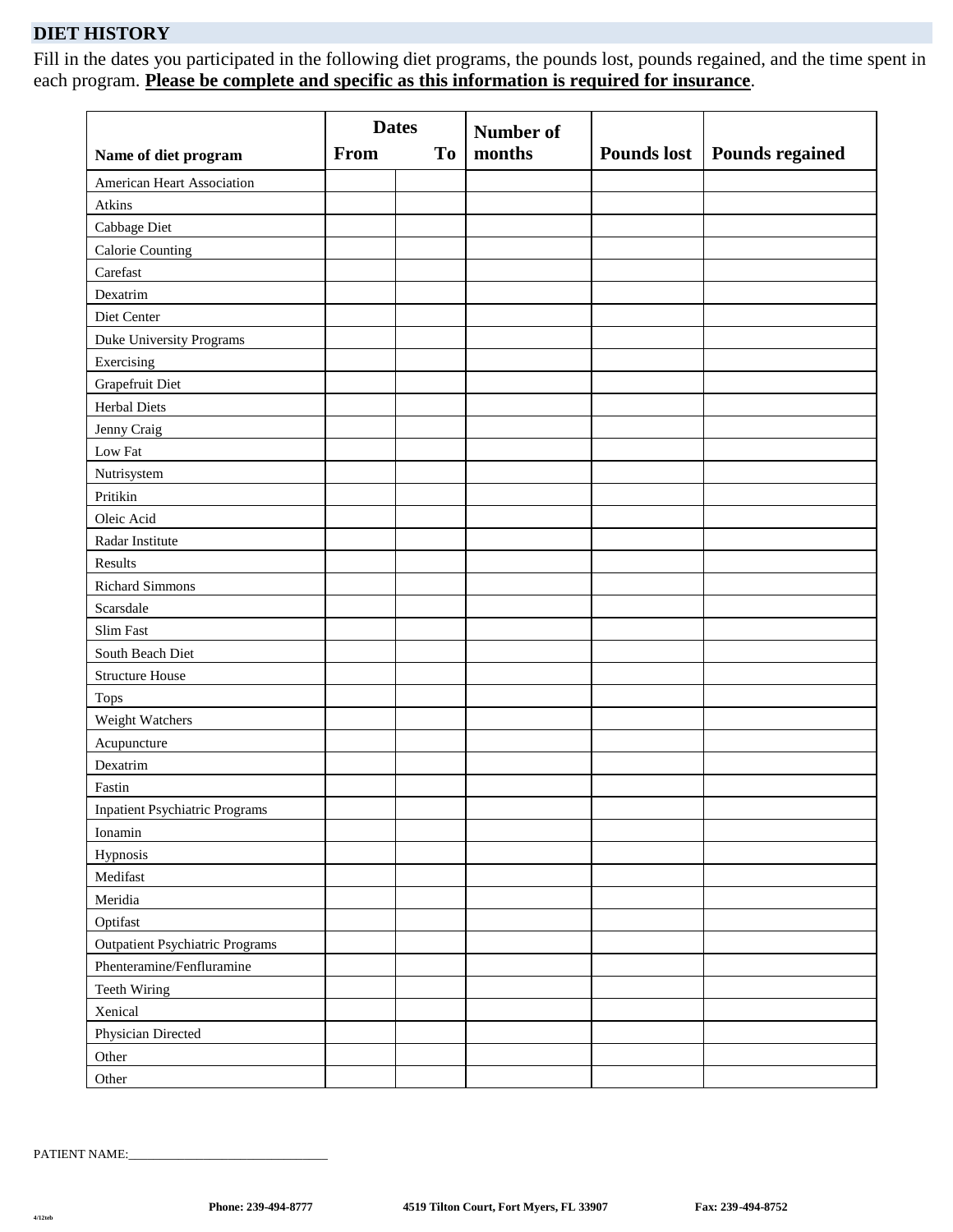## **DIET HISTORY**

Fill in the dates you participated in the following diet programs, the pounds lost, pounds regained, and the time spent in each program. **Please be complete and specific as this information is required for insurance**.

| Name of diet program                   | <b>Dates</b><br><b>From</b> | <b>To</b> | Number of<br>months | Pounds lost | <b>Pounds regained</b> |
|----------------------------------------|-----------------------------|-----------|---------------------|-------------|------------------------|
|                                        |                             |           |                     |             |                        |
| <b>American Heart Association</b>      |                             |           |                     |             |                        |
| Atkins                                 |                             |           |                     |             |                        |
| Cabbage Diet                           |                             |           |                     |             |                        |
| Calorie Counting                       |                             |           |                     |             |                        |
| Carefast                               |                             |           |                     |             |                        |
| Dexatrim                               |                             |           |                     |             |                        |
| Diet Center                            |                             |           |                     |             |                        |
| Duke University Programs               |                             |           |                     |             |                        |
| Exercising                             |                             |           |                     |             |                        |
| Grapefruit Diet                        |                             |           |                     |             |                        |
| <b>Herbal Diets</b>                    |                             |           |                     |             |                        |
| Jenny Craig                            |                             |           |                     |             |                        |
| Low Fat                                |                             |           |                     |             |                        |
| Nutrisystem                            |                             |           |                     |             |                        |
| Pritikin                               |                             |           |                     |             |                        |
| Oleic Acid                             |                             |           |                     |             |                        |
| Radar Institute                        |                             |           |                     |             |                        |
| Results                                |                             |           |                     |             |                        |
| <b>Richard Simmons</b>                 |                             |           |                     |             |                        |
| Scarsdale                              |                             |           |                     |             |                        |
| Slim Fast                              |                             |           |                     |             |                        |
| South Beach Diet                       |                             |           |                     |             |                        |
| <b>Structure House</b>                 |                             |           |                     |             |                        |
| <b>Tops</b>                            |                             |           |                     |             |                        |
| Weight Watchers                        |                             |           |                     |             |                        |
| Acupuncture                            |                             |           |                     |             |                        |
| Dexatrim                               |                             |           |                     |             |                        |
| Fastin                                 |                             |           |                     |             |                        |
| <b>Inpatient Psychiatric Programs</b>  |                             |           |                     |             |                        |
| Ionamin                                |                             |           |                     |             |                        |
| Hypnosis                               |                             |           |                     |             |                        |
| Medifast                               |                             |           |                     |             |                        |
| Meridia                                |                             |           |                     |             |                        |
| Optifast                               |                             |           |                     |             |                        |
| <b>Outpatient Psychiatric Programs</b> |                             |           |                     |             |                        |
| Phenteramine/Fenfluramine              |                             |           |                     |             |                        |
| Teeth Wiring                           |                             |           |                     |             |                        |
| Xenical                                |                             |           |                     |             |                        |
| Physician Directed                     |                             |           |                     |             |                        |
| Other                                  |                             |           |                     |             |                        |
| Other                                  |                             |           |                     |             |                        |

PATIENT NAME: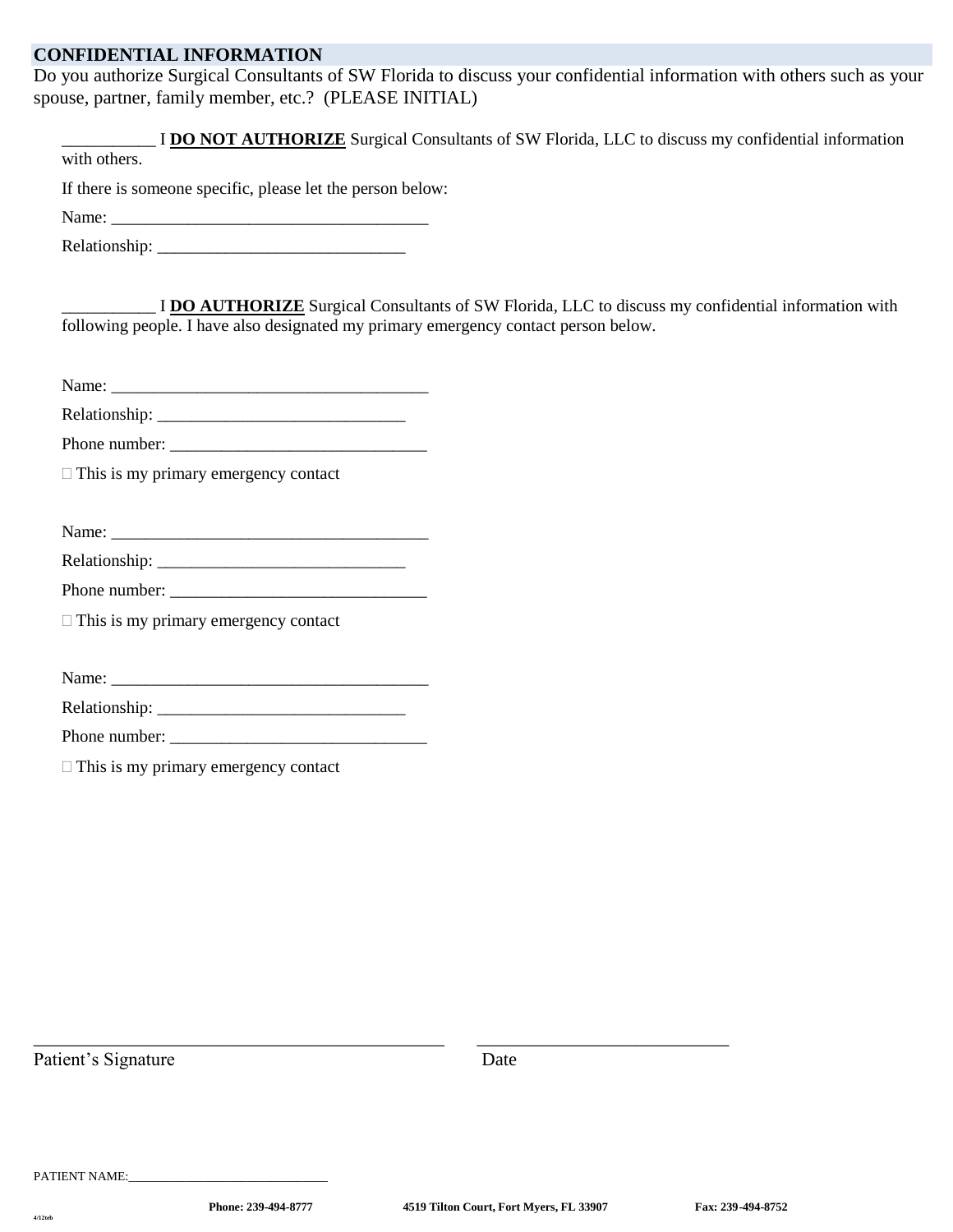## **CONFIDENTIAL INFORMATION**

Do you authorize Surgical Consultants of SW Florida to discuss your confidential information with others such as your spouse, partner, family member, etc.? (PLEASE INITIAL)

| with others.                                                                        |                                                                                                    |
|-------------------------------------------------------------------------------------|----------------------------------------------------------------------------------------------------|
| If there is someone specific, please let the person below:                          |                                                                                                    |
|                                                                                     |                                                                                                    |
|                                                                                     |                                                                                                    |
| following people. I have also designated my primary emergency contact person below. | I DO AUTHORIZE Surgical Consultants of SW Florida, LLC to discuss my confidential information with |
|                                                                                     |                                                                                                    |
|                                                                                     |                                                                                                    |
|                                                                                     |                                                                                                    |
| $\Box$ This is my primary emergency contact                                         |                                                                                                    |
|                                                                                     |                                                                                                    |
|                                                                                     |                                                                                                    |
|                                                                                     |                                                                                                    |
| $\Box$ This is my primary emergency contact                                         |                                                                                                    |
|                                                                                     |                                                                                                    |
|                                                                                     |                                                                                                    |
|                                                                                     |                                                                                                    |
| Name:<br>Phone number:                                                              |                                                                                                    |

Patient's Signature Date

\_\_\_\_\_\_\_\_\_\_\_\_\_\_\_\_\_\_\_\_\_\_\_\_\_\_\_\_\_\_\_\_\_\_\_\_\_\_\_\_\_\_\_\_ \_\_\_\_\_\_\_\_\_\_\_\_\_\_\_\_\_\_\_\_\_\_\_\_\_\_\_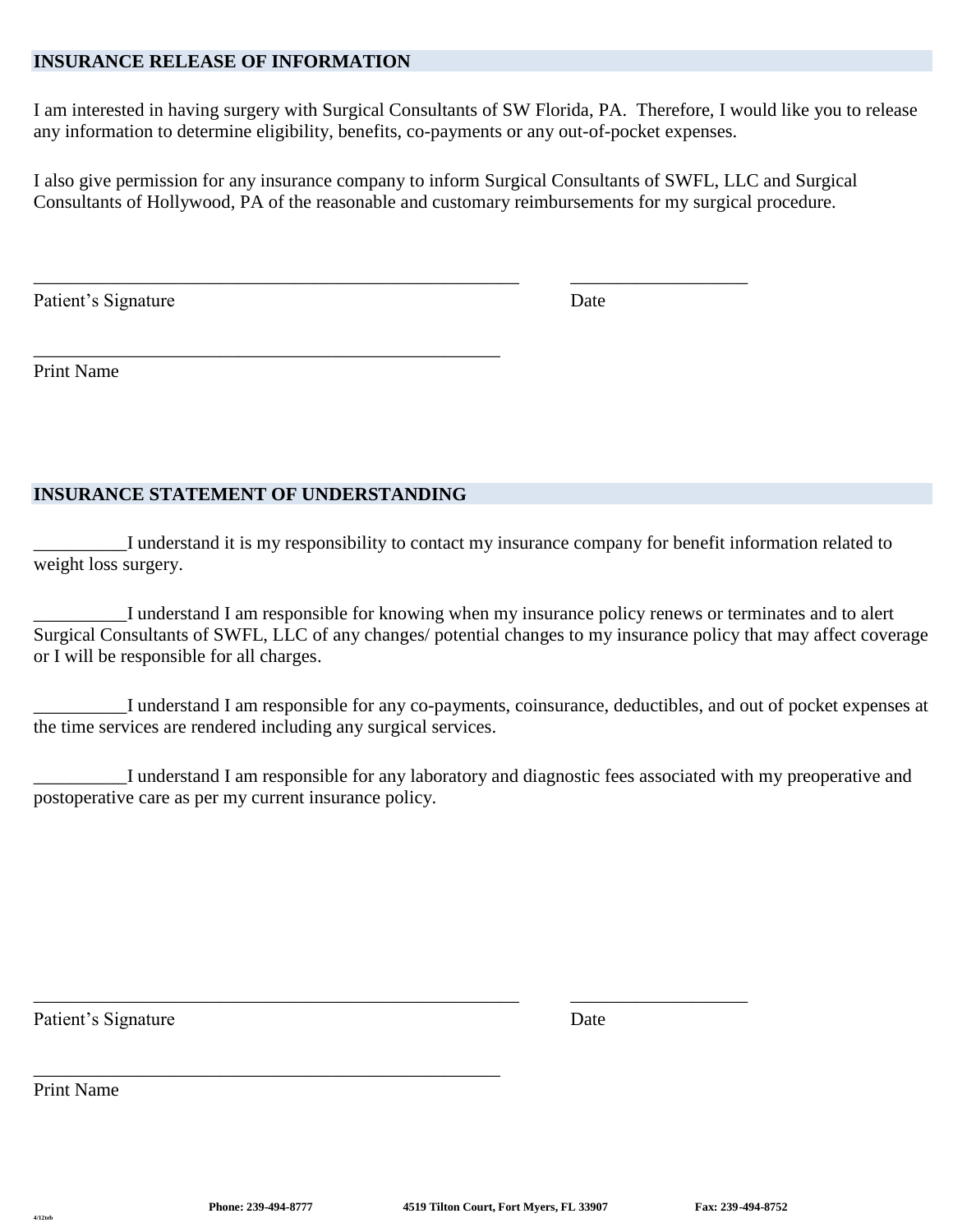## **INSURANCE RELEASE OF INFORMATION**

I am interested in having surgery with Surgical Consultants of SW Florida, PA. Therefore, I would like you to release any information to determine eligibility, benefits, co-payments or any out-of-pocket expenses.

I also give permission for any insurance company to inform Surgical Consultants of SWFL, LLC and Surgical Consultants of Hollywood, PA of the reasonable and customary reimbursements for my surgical procedure.

\_\_\_\_\_\_\_\_\_\_\_\_\_\_\_\_\_\_\_\_\_\_\_\_\_\_\_\_\_\_\_\_\_\_\_\_\_\_\_\_\_\_\_\_\_\_\_\_\_\_\_\_ \_\_\_\_\_\_\_\_\_\_\_\_\_\_\_\_\_\_\_

Patient's Signature Date

Print Name

## **INSURANCE STATEMENT OF UNDERSTANDING**

\_\_\_\_\_\_\_\_\_\_\_\_\_\_\_\_\_\_\_\_\_\_\_\_\_\_\_\_\_\_\_\_\_\_\_\_\_\_\_\_\_\_\_\_\_\_\_\_\_\_

\_\_\_\_\_\_\_\_\_\_I understand it is my responsibility to contact my insurance company for benefit information related to weight loss surgery.

\_\_\_\_\_\_\_\_\_\_I understand I am responsible for knowing when my insurance policy renews or terminates and to alert Surgical Consultants of SWFL, LLC of any changes/ potential changes to my insurance policy that may affect coverage or I will be responsible for all charges.

\_\_\_\_\_\_\_\_\_\_I understand I am responsible for any co-payments, coinsurance, deductibles, and out of pocket expenses at the time services are rendered including any surgical services.

\_\_\_\_\_\_\_\_\_\_I understand I am responsible for any laboratory and diagnostic fees associated with my preoperative and postoperative care as per my current insurance policy.

\_\_\_\_\_\_\_\_\_\_\_\_\_\_\_\_\_\_\_\_\_\_\_\_\_\_\_\_\_\_\_\_\_\_\_\_\_\_\_\_\_\_\_\_\_\_\_\_\_\_\_\_ \_\_\_\_\_\_\_\_\_\_\_\_\_\_\_\_\_\_\_

Patient's Signature Date

Print Name

\_\_\_\_\_\_\_\_\_\_\_\_\_\_\_\_\_\_\_\_\_\_\_\_\_\_\_\_\_\_\_\_\_\_\_\_\_\_\_\_\_\_\_\_\_\_\_\_\_\_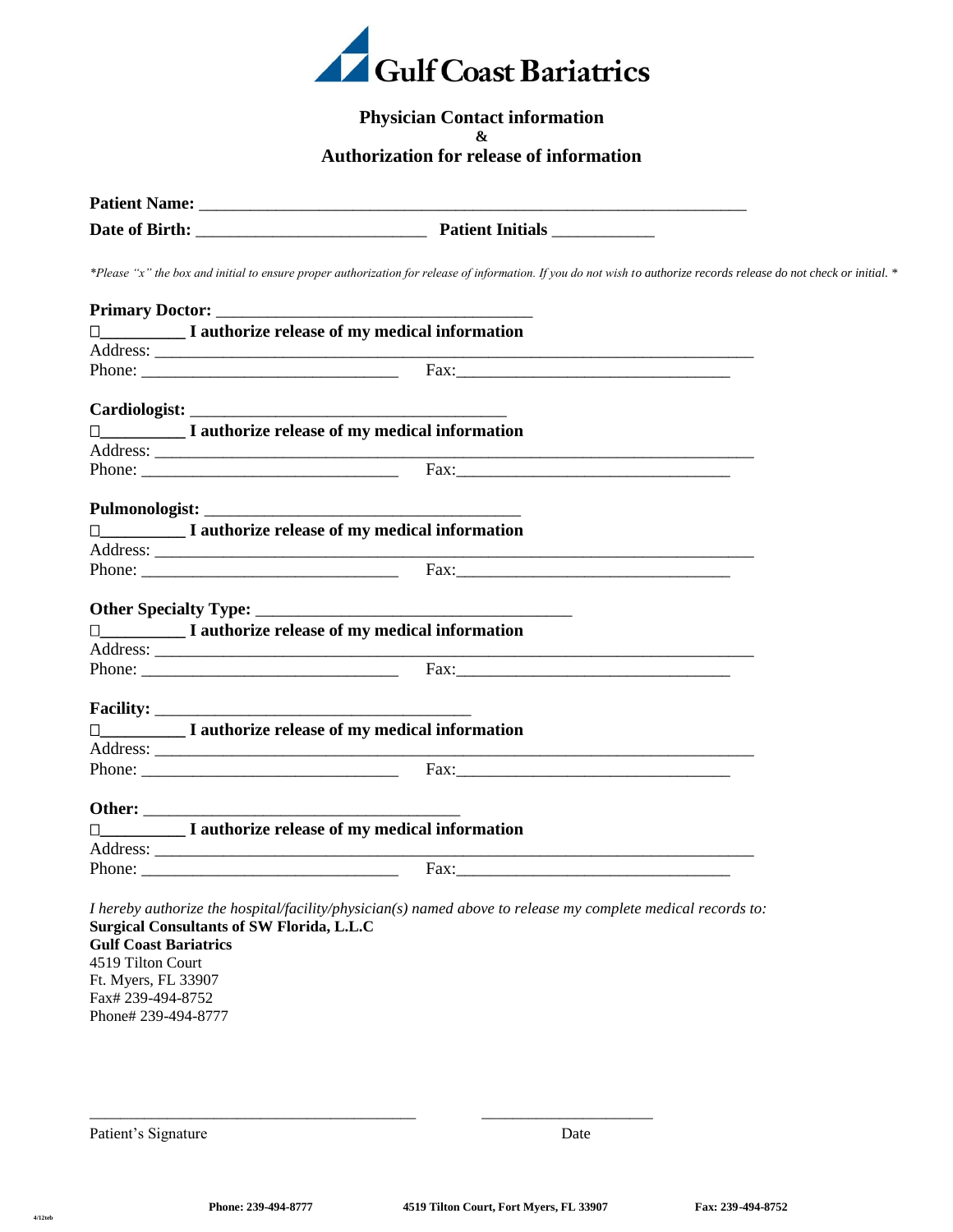

## **Physician Contact information &**

**Authorization for release of information**

|                                                   | Date of Birth: Patient Initials                                                                                                                                                                                                                                                                                                                                                                              |                                                                                                                                                                                                                                |
|---------------------------------------------------|--------------------------------------------------------------------------------------------------------------------------------------------------------------------------------------------------------------------------------------------------------------------------------------------------------------------------------------------------------------------------------------------------------------|--------------------------------------------------------------------------------------------------------------------------------------------------------------------------------------------------------------------------------|
|                                                   |                                                                                                                                                                                                                                                                                                                                                                                                              | *Please "x" the box and initial to ensure proper authorization for release of information. If you do not wish to authorize records release do not check or initial. *                                                          |
|                                                   |                                                                                                                                                                                                                                                                                                                                                                                                              |                                                                                                                                                                                                                                |
|                                                   | I authorize release of my medical information                                                                                                                                                                                                                                                                                                                                                                |                                                                                                                                                                                                                                |
|                                                   |                                                                                                                                                                                                                                                                                                                                                                                                              |                                                                                                                                                                                                                                |
|                                                   | Phone: $\frac{1}{\sqrt{1-\frac{1}{2}}\sqrt{1-\frac{1}{2}}\sqrt{1-\frac{1}{2}}\sqrt{1-\frac{1}{2}}\sqrt{1-\frac{1}{2}}\sqrt{1-\frac{1}{2}}\sqrt{1-\frac{1}{2}}\sqrt{1-\frac{1}{2}}\sqrt{1-\frac{1}{2}}\sqrt{1-\frac{1}{2}}\sqrt{1-\frac{1}{2}}\sqrt{1-\frac{1}{2}}\sqrt{1-\frac{1}{2}}\sqrt{1-\frac{1}{2}}\sqrt{1-\frac{1}{2}}\sqrt{1-\frac{1}{2}}\sqrt{1-\frac{1}{2}}\sqrt{1-\frac{1}{2}}\sqrt{1-\frac{1}{2$ |                                                                                                                                                                                                                                |
|                                                   |                                                                                                                                                                                                                                                                                                                                                                                                              |                                                                                                                                                                                                                                |
|                                                   | $\Box$ I authorize release of my medical information                                                                                                                                                                                                                                                                                                                                                         |                                                                                                                                                                                                                                |
|                                                   |                                                                                                                                                                                                                                                                                                                                                                                                              |                                                                                                                                                                                                                                |
|                                                   |                                                                                                                                                                                                                                                                                                                                                                                                              |                                                                                                                                                                                                                                |
|                                                   |                                                                                                                                                                                                                                                                                                                                                                                                              |                                                                                                                                                                                                                                |
|                                                   | I authorize release of my medical information                                                                                                                                                                                                                                                                                                                                                                |                                                                                                                                                                                                                                |
|                                                   |                                                                                                                                                                                                                                                                                                                                                                                                              |                                                                                                                                                                                                                                |
|                                                   |                                                                                                                                                                                                                                                                                                                                                                                                              |                                                                                                                                                                                                                                |
|                                                   |                                                                                                                                                                                                                                                                                                                                                                                                              |                                                                                                                                                                                                                                |
|                                                   | I authorize release of my medical information                                                                                                                                                                                                                                                                                                                                                                |                                                                                                                                                                                                                                |
|                                                   |                                                                                                                                                                                                                                                                                                                                                                                                              |                                                                                                                                                                                                                                |
|                                                   | Phone: Fax:                                                                                                                                                                                                                                                                                                                                                                                                  |                                                                                                                                                                                                                                |
|                                                   |                                                                                                                                                                                                                                                                                                                                                                                                              |                                                                                                                                                                                                                                |
|                                                   | I authorize release of my medical information                                                                                                                                                                                                                                                                                                                                                                |                                                                                                                                                                                                                                |
|                                                   |                                                                                                                                                                                                                                                                                                                                                                                                              | <u> 1989 - Johann Barn, mars an t-Amerikaansk politiker (</u>                                                                                                                                                                  |
|                                                   |                                                                                                                                                                                                                                                                                                                                                                                                              |                                                                                                                                                                                                                                |
|                                                   |                                                                                                                                                                                                                                                                                                                                                                                                              |                                                                                                                                                                                                                                |
|                                                   | I authorize release of my medical information                                                                                                                                                                                                                                                                                                                                                                |                                                                                                                                                                                                                                |
|                                                   |                                                                                                                                                                                                                                                                                                                                                                                                              |                                                                                                                                                                                                                                |
|                                                   |                                                                                                                                                                                                                                                                                                                                                                                                              | Fax: The contract of the contract of the contract of the contract of the contract of the contract of the contract of the contract of the contract of the contract of the contract of the contract of the contract of the contr |
| <b>Gulf Coast Bariatrics</b><br>4519 Tilton Court | I hereby authorize the hospital/facility/physician(s) named above to release my complete medical records to:<br><b>Surgical Consultants of SW Florida, L.L.C</b>                                                                                                                                                                                                                                             |                                                                                                                                                                                                                                |
|                                                   |                                                                                                                                                                                                                                                                                                                                                                                                              |                                                                                                                                                                                                                                |

Ft. Myers, FL 33907 Fax# 239-494-8752 Phone# 239-494-8777

Patient's Signature Date

\_\_\_\_\_\_\_\_\_\_\_\_\_\_\_\_\_\_\_\_\_\_\_\_\_\_\_\_\_\_\_\_\_\_\_\_\_\_\_\_\_\_ \_\_\_\_\_\_\_\_\_\_\_\_\_\_\_\_\_\_\_\_\_\_